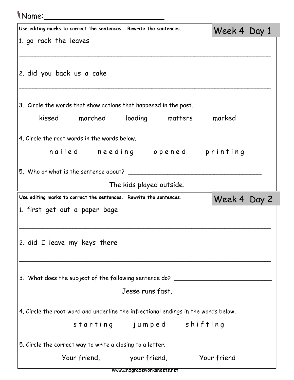## Name:\_\_\_\_\_\_\_\_\_\_\_\_\_\_\_\_\_\_\_\_\_\_\_\_\_

| Use editing marks to correct the sentences. Rewrite the sentences.                 | Week 4 Day 1 |  |
|------------------------------------------------------------------------------------|--------------|--|
| 1. go rack the leaves                                                              |              |  |
|                                                                                    |              |  |
| 2. did you back us a cake                                                          |              |  |
|                                                                                    |              |  |
| 3. Circle the words that show actions that happened in the past.                   |              |  |
| kissed marched loading matters                                                     | marked       |  |
| 4. Circle the root words in the words below.                                       |              |  |
| nailed needing opened printing                                                     |              |  |
| 5. Who or what is the sentence about?                                              |              |  |
| The kids played outside.                                                           |              |  |
| Use editing marks to correct the sentences. Rewrite the sentences.                 | Week 4 Day 2 |  |
| 1. first get out a paper bage                                                      |              |  |
|                                                                                    |              |  |
| 2. did I leave my keys there                                                       |              |  |
|                                                                                    |              |  |
| 3. What does the subject of the following sentence do? _________________________   |              |  |
| Jesse runs fast.                                                                   |              |  |
|                                                                                    |              |  |
| 4. Circle the root word and underline the inflectional endings in the words below. |              |  |
| starting jumped shifting                                                           |              |  |
| 5. Circle the correct way to write a closing to a letter.                          |              |  |
| Your friend, your friend,                                                          | Your friend  |  |

www.2ndgradeworksheets.net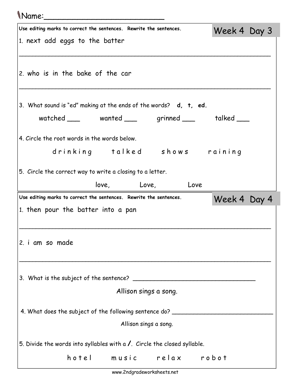## Name:\_\_\_\_\_\_\_\_\_\_\_\_\_\_\_\_\_\_\_\_\_\_\_\_\_

| Use editing marks to correct the sentences. Rewrite the sentences.                                           | Week 4 Day 3 |  |
|--------------------------------------------------------------------------------------------------------------|--------------|--|
| 1. next add eggs to the batter                                                                               |              |  |
|                                                                                                              |              |  |
| 2. who is in the bake of the car                                                                             |              |  |
|                                                                                                              |              |  |
| 3. What sound is "ed" making at the ends of the words? d, t, ed.                                             |              |  |
| watched ____ wanted ____ grinned ___ talked ___                                                              |              |  |
| 4. Circle the root words in the words below.                                                                 |              |  |
| drinking talked shows raining                                                                                |              |  |
| 5. Circle the correct way to write a closing to a letter.                                                    |              |  |
| love, Love,<br>Love                                                                                          |              |  |
|                                                                                                              |              |  |
| Use editing marks to correct the sentences. Rewrite the sentences.                                           | Week 4 Day 4 |  |
| 1. then pour the batter into a pan                                                                           |              |  |
|                                                                                                              |              |  |
| 2. i am so made                                                                                              |              |  |
|                                                                                                              |              |  |
|                                                                                                              |              |  |
| Allison sings a song.                                                                                        |              |  |
|                                                                                                              |              |  |
| 4. What does the subject of the following sentence do? _________________________<br>Allison sings a song.    |              |  |
|                                                                                                              |              |  |
| 5. Divide the words into syllables with a $\lambda$ . Circle the closed syllable.<br>hotel music relax robot |              |  |